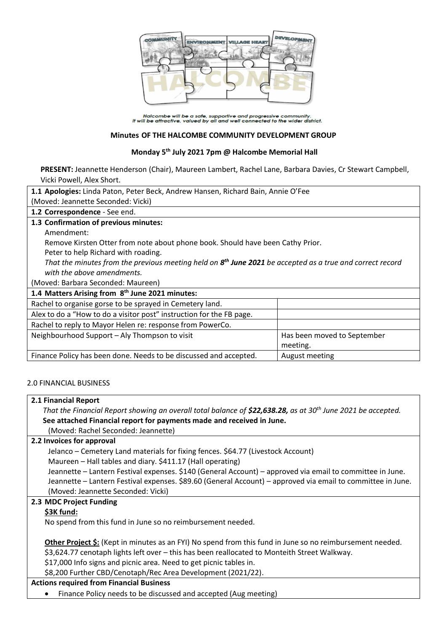

Halcombe will be a safe, supportive and progressive community.<br>It will be attractive, valued by all and well connected to the wider district.

## **Minutes OF THE HALCOMBE COMMUNITY DEVELOPMENT GROUP**

# **Monday 5th July 2021 7pm @ Halcombe Memorial Hall**

**PRESENT:** Jeannette Henderson (Chair), Maureen Lambert, Rachel Lane, Barbara Davies, Cr Stewart Campbell, Vicki Powell, Alex Short.

| 1.1 Apologies: Linda Paton, Peter Beck, Andrew Hansen, Richard Bain, Annie O'Fee                            |                             |  |
|-------------------------------------------------------------------------------------------------------------|-----------------------------|--|
| (Moved: Jeannette Seconded: Vicki)                                                                          |                             |  |
| 1.2 Correspondence - See end.                                                                               |                             |  |
| 1.3 Confirmation of previous minutes:                                                                       |                             |  |
| Amendment:                                                                                                  |                             |  |
| Remove Kirsten Otter from note about phone book. Should have been Cathy Prior.                              |                             |  |
| Peter to help Richard with roading.                                                                         |                             |  |
| That the minutes from the previous meeting held on $8th$ June 2021 be accepted as a true and correct record |                             |  |
| with the above amendments.                                                                                  |                             |  |
| (Moved: Barbara Seconded: Maureen)                                                                          |                             |  |
| 1.4 Matters Arising from 8 <sup>th</sup> June 2021 minutes:                                                 |                             |  |
| Rachel to organise gorse to be sprayed in Cemetery land.                                                    |                             |  |
| Alex to do a "How to do a visitor post" instruction for the FB page.                                        |                             |  |
| Rachel to reply to Mayor Helen re: response from PowerCo.                                                   |                             |  |
| Neighbourhood Support - Aly Thompson to visit                                                               | Has been moved to September |  |
|                                                                                                             | meeting.                    |  |
| Finance Policy has been done. Needs to be discussed and accepted.                                           | August meeting              |  |

# 2.0 FINANCIAL BUSINESS

### **2.1 Financial Report**

*That the Financial Report showing an overall total balance of \$22,638.28, as at 30th June 2021 be accepted.* **See attached Financial report for payments made and received in June.**

(Moved: Rachel Seconded: Jeannette)

# **2.2 Invoices for approval**

Jelanco – Cemetery Land materials for fixing fences. \$64.77 (Livestock Account)

Maureen – Hall tables and diary. \$411.17 (Hall operating)

Jeannette – Lantern Festival expenses. \$140 (General Account) – approved via email to committee in June. Jeannette – Lantern Festival expenses. \$89.60 (General Account) – approved via email to committee in June. (Moved: Jeannette Seconded: Vicki)

### **2.3 MDC Project Funding**

### **\$3K fund:**

No spend from this fund in June so no reimbursement needed.

**Other Project \$:** (Kept in minutes as an FYI) No spend from this fund in June so no reimbursement needed. \$3,624.77 cenotaph lights left over – this has been reallocated to Monteith Street Walkway.

\$17,000 Info signs and picnic area. Need to get picnic tables in.

\$8,200 Further CBD/Cenotaph/Rec Area Development (2021/22).

# **Actions required from Financial Business**

• Finance Policy needs to be discussed and accepted (Aug meeting)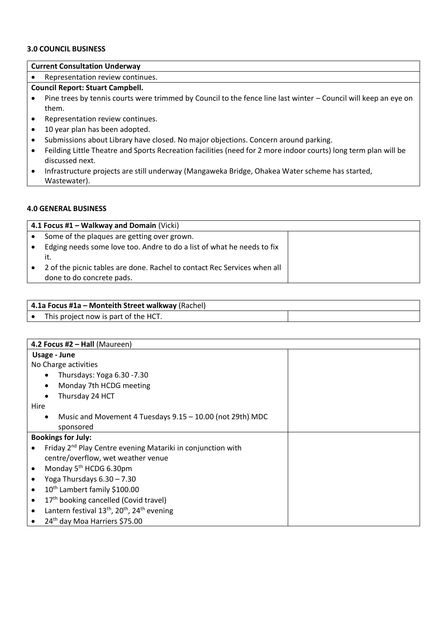#### **3.0 COUNCIL BUSINESS**

## **Current Consultation Underway**

• Representation review continues.

# **Council Report: Stuart Campbell.**

- Pine trees by tennis courts were trimmed by Council to the fence line last winter Council will keep an eye on them.
- Representation review continues.
- 10 year plan has been adopted.
- Submissions about Library have closed. No major objections. Concern around parking.
- Feilding Little Theatre and Sports Recreation facilities (need for 2 more indoor courts) long term plan will be discussed next.
- Infrastructure projects are still underway (Mangaweka Bridge, Ohakea Water scheme has started, Wastewater).

### **4.0 GENERAL BUSINESS**

|           | 4.1 Focus #1 – Walkway and Domain (Vicki)                                     |  |  |
|-----------|-------------------------------------------------------------------------------|--|--|
| $\bullet$ | Some of the plaques are getting over grown.                                   |  |  |
| $\bullet$ | Edging needs some love too. Andre to do a list of what he needs to fix<br>it. |  |  |
|           | 2 of the picnic tables are done. Rachel to contact Rec Services when all      |  |  |
|           | done to do concrete pads.                                                     |  |  |

| 4.1a Focus #1a – Monteith Street walkway (Rachel) |  |
|---------------------------------------------------|--|
| This project now is part of the HCT.              |  |

| 4.2 Focus #2 - Hall (Maureen)                                                                |  |  |
|----------------------------------------------------------------------------------------------|--|--|
| Usage - June                                                                                 |  |  |
| No Charge activities                                                                         |  |  |
| Thursdays: Yoga 6.30 -7.30<br>$\bullet$                                                      |  |  |
| Monday 7th HCDG meeting<br>$\bullet$                                                         |  |  |
| Thursday 24 HCT                                                                              |  |  |
| Hire                                                                                         |  |  |
| Music and Movement 4 Tuesdays 9.15 - 10.00 (not 29th) MDC<br>$\bullet$                       |  |  |
| sponsored                                                                                    |  |  |
| <b>Bookings for July:</b>                                                                    |  |  |
| Friday 2 <sup>nd</sup> Play Centre evening Matariki in conjunction with                      |  |  |
| centre/overflow, wet weather venue                                                           |  |  |
| Monday 5 <sup>th</sup> HCDG 6.30pm                                                           |  |  |
| Yoga Thursdays $6.30 - 7.30$                                                                 |  |  |
| 10 <sup>th</sup> Lambert family \$100.00                                                     |  |  |
| 17 <sup>th</sup> booking cancelled (Covid travel)                                            |  |  |
| Lantern festival 13 <sup>th</sup> , 20 <sup>th</sup> , 24 <sup>th</sup> evening<br>$\bullet$ |  |  |
| 24 <sup>th</sup> day Moa Harriers \$75.00                                                    |  |  |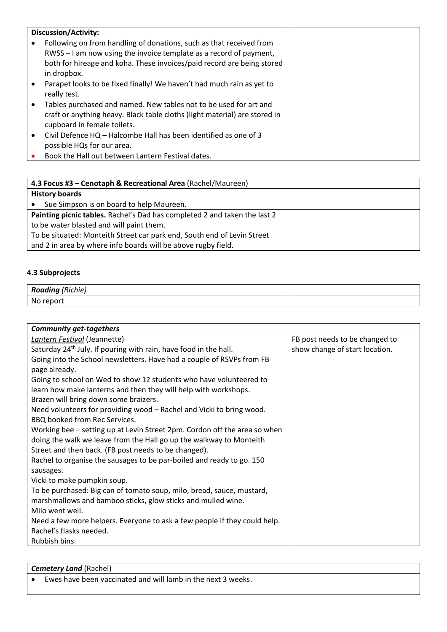| <b>Discussion/Activity:</b>                                                                                                                                                                                                        |
|------------------------------------------------------------------------------------------------------------------------------------------------------------------------------------------------------------------------------------|
| Following on from handling of donations, such as that received from<br>RWSS - I am now using the invoice template as a record of payment,<br>both for hireage and koha. These invoices/paid record are being stored<br>in dropbox. |
| Parapet looks to be fixed finally! We haven't had much rain as yet to<br>really test.                                                                                                                                              |
| Tables purchased and named. New tables not to be used for art and<br>craft or anything heavy. Black table cloths (light material) are stored in<br>cupboard in female toilets.                                                     |
| Civil Defence HQ - Halcombe Hall has been identified as one of 3<br>possible HQs for our area.                                                                                                                                     |
| Book the Hall out between Lantern Festival dates.                                                                                                                                                                                  |

| 4.3 Focus #3 - Cenotaph & Recreational Area (Rachel/Maureen)              |  |  |
|---------------------------------------------------------------------------|--|--|
| <b>History boards</b>                                                     |  |  |
| Sue Simpson is on board to help Maureen.                                  |  |  |
| Painting picnic tables. Rachel's Dad has completed 2 and taken the last 2 |  |  |
| to be water blasted and will paint them.                                  |  |  |
| To be situated: Monteith Street car park end, South end of Levin Street   |  |  |
| and 2 in area by where info boards will be above rugby field.             |  |  |

# **4.3 Subprojects**

| <b>Roading</b> (Richie) |  |  |
|-------------------------|--|--|
| $N_{\ell}$<br>report    |  |  |

| <b>Community get-togethers</b>                                               |                                |
|------------------------------------------------------------------------------|--------------------------------|
| Lantern Festival (Jeannette)                                                 | FB post needs to be changed to |
| Saturday 24 <sup>th</sup> July. If pouring with rain, have food in the hall. | show change of start location. |
| Going into the School newsletters. Have had a couple of RSVPs from FB        |                                |
| page already.                                                                |                                |
| Going to school on Wed to show 12 students who have volunteered to           |                                |
| learn how make lanterns and then they will help with workshops.              |                                |
| Brazen will bring down some braizers.                                        |                                |
| Need volunteers for providing wood - Rachel and Vicki to bring wood.         |                                |
| BBQ booked from Rec Services.                                                |                                |
| Working bee – setting up at Levin Street 2pm. Cordon off the area so when    |                                |
| doing the walk we leave from the Hall go up the walkway to Monteith          |                                |
| Street and then back. (FB post needs to be changed).                         |                                |
| Rachel to organise the sausages to be par-boiled and ready to go. 150        |                                |
| sausages.                                                                    |                                |
| Vicki to make pumpkin soup.                                                  |                                |
| To be purchased: Big can of tomato soup, milo, bread, sauce, mustard,        |                                |
| marshmallows and bamboo sticks, glow sticks and mulled wine.                 |                                |
| Milo went well.                                                              |                                |
| Need a few more helpers. Everyone to ask a few people if they could help.    |                                |
| Rachel's flasks needed.                                                      |                                |
| Rubbish bins.                                                                |                                |

| <b>Cemetery Land (Rachel)</b> |                                                              |  |
|-------------------------------|--------------------------------------------------------------|--|
|                               | Ewes have been vaccinated and will lamb in the next 3 weeks. |  |
|                               |                                                              |  |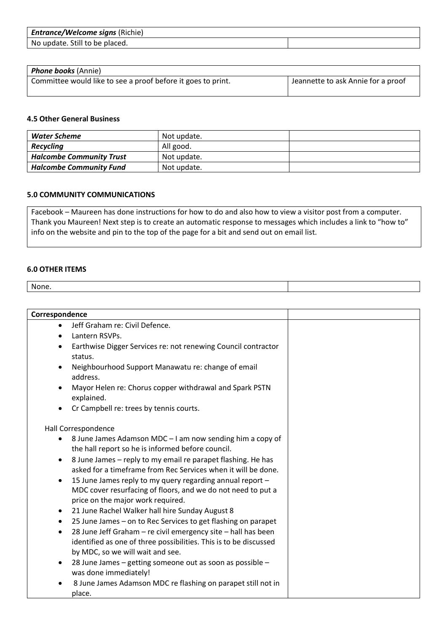| <b>Entrance/Welcome signs (Richie)</b> |  |
|----------------------------------------|--|
| No update. Still to be placed.         |  |

| <b>Phone books</b> (Annie)                                   |                                    |
|--------------------------------------------------------------|------------------------------------|
| Committee would like to see a proof before it goes to print. | Jeannette to ask Annie for a proof |

### **4.5 Other General Business**

| Water Scheme                    | Not update. |  |
|---------------------------------|-------------|--|
| Recycling                       | All good.   |  |
| <b>Halcombe Community Trust</b> | Not update. |  |
| <b>Halcombe Community Fund</b>  | Not update. |  |

# **5.0 COMMUNITY COMMUNICATIONS**

Facebook – Maureen has done instructions for how to do and also how to view a visitor post from a computer. Thank you Maureen! Next step is to create an automatic response to messages which includes a link to "how to" info on the website and pin to the top of the page for a bit and send out on email list.

#### **6.0 OTHER ITEMS**

None.

| Correspondence |                                                                                                                                    |  |
|----------------|------------------------------------------------------------------------------------------------------------------------------------|--|
| $\bullet$      | Jeff Graham re: Civil Defence.                                                                                                     |  |
| $\bullet$      | Lantern RSVPs.                                                                                                                     |  |
| $\bullet$      | Earthwise Digger Services re: not renewing Council contractor                                                                      |  |
|                | status.                                                                                                                            |  |
| $\bullet$      | Neighbourhood Support Manawatu re: change of email<br>address.                                                                     |  |
| $\bullet$      | Mayor Helen re: Chorus copper withdrawal and Spark PSTN<br>explained.                                                              |  |
| $\bullet$      | Cr Campbell re: trees by tennis courts.                                                                                            |  |
|                | Hall Correspondence                                                                                                                |  |
| $\bullet$      | 8 June James Adamson MDC - I am now sending him a copy of                                                                          |  |
|                | the hall report so he is informed before council.                                                                                  |  |
| $\bullet$      | 8 June James - reply to my email re parapet flashing. He has                                                                       |  |
|                | asked for a timeframe from Rec Services when it will be done.                                                                      |  |
| $\bullet$      | 15 June James reply to my query regarding annual report -                                                                          |  |
|                | MDC cover resurfacing of floors, and we do not need to put a                                                                       |  |
|                | price on the major work required.                                                                                                  |  |
| $\bullet$      | 21 June Rachel Walker hall hire Sunday August 8                                                                                    |  |
| $\bullet$      | 25 June James - on to Rec Services to get flashing on parapet                                                                      |  |
| $\bullet$      | 28 June Jeff Graham - re civil emergency site - hall has been<br>identified as one of three possibilities. This is to be discussed |  |
|                | by MDC, so we will wait and see.                                                                                                   |  |
| $\bullet$      | 28 June James - getting someone out as soon as possible -<br>was done immediately!                                                 |  |
|                | 8 June James Adamson MDC re flashing on parapet still not in<br>place.                                                             |  |